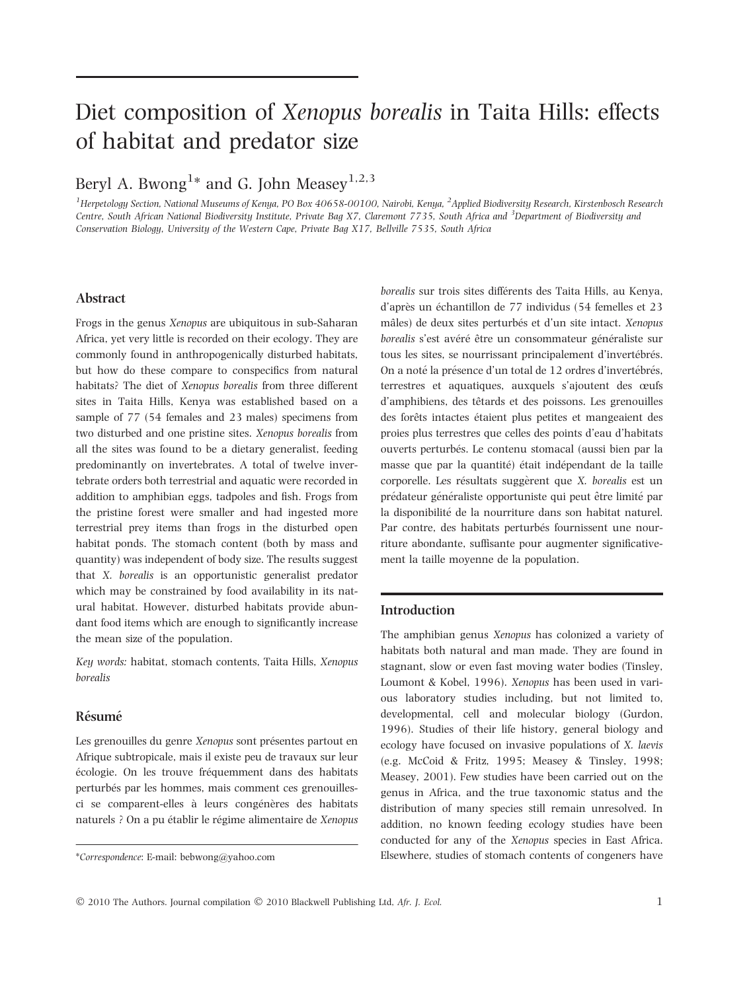# Diet composition of Xenopus borealis in Taita Hills: effects of habitat and predator size

# Beryl A. Bwong $^{\rm 1*}$  and G. John Measey $^{\rm 1,2,3}$

<sup>1</sup>Herpetology Section, National Museums of Kenya, PO Box 40658-00100, Nairobi, Kenya, <sup>2</sup>Applied Biodiversity Research, Kirstenbosch Research Centre, South African National Biodiversity Institute, Private Bag X7, Claremont 7735, South Africa and <sup>3</sup>Department of Biodiversity and Conservation Biology, University of the Western Cape, Private Bag X17, Bellville 7535, South Africa

# Abstract

Frogs in the genus Xenopus are ubiquitous in sub-Saharan Africa, yet very little is recorded on their ecology. They are commonly found in anthropogenically disturbed habitats, but how do these compare to conspecifics from natural habitats? The diet of Xenopus borealis from three different sites in Taita Hills, Kenya was established based on a sample of 77 (54 females and 23 males) specimens from two disturbed and one pristine sites. Xenopus borealis from all the sites was found to be a dietary generalist, feeding predominantly on invertebrates. A total of twelve invertebrate orders both terrestrial and aquatic were recorded in addition to amphibian eggs, tadpoles and fish. Frogs from the pristine forest were smaller and had ingested more terrestrial prey items than frogs in the disturbed open habitat ponds. The stomach content (both by mass and quantity) was independent of body size. The results suggest that X. borealis is an opportunistic generalist predator which may be constrained by food availability in its natural habitat. However, disturbed habitats provide abundant food items which are enough to significantly increase the mean size of the population.

Key words: habitat, stomach contents, Taita Hills, Xenopus borealis

# Résumé

Les grenouilles du genre Xenopus sont présentes partout en Afrique subtropicale, mais il existe peu de travaux sur leur écologie. On les trouve fréquemment dans des habitats perturbés par les hommes, mais comment ces grenouillesci se comparent-elles à leurs congénères des habitats naturels ? On a pu établir le régime alimentaire de Xenopus borealis sur trois sites différents des Taita Hills, au Kenya, d'après un échantillon de 77 individus (54 femelles et 23 mâles) de deux sites perturbés et d'un site intact. Xenopus borealis s'est avéré être un consommateur généraliste sur tous les sites, se nourrissant principalement d'invertébrés. On a noté la présence d'un total de 12 ordres d'invertébrés, terrestres et aquatiques, auxquels s'ajoutent des œufs d'amphibiens, des têtards et des poissons. Les grenouilles des forêts intactes étaient plus petites et mangeaient des proies plus terrestres que celles des points d'eau d'habitats ouverts perturbés. Le contenu stomacal (aussi bien par la masse que par la quantité) était indépendant de la taille corporelle. Les résultats suggèrent que X. borealis est un prédateur généraliste opportuniste qui peut être limité par la disponibilité de la nourriture dans son habitat naturel. Par contre, des habitats perturbés fournissent une nourriture abondante, suffisante pour augmenter significativement la taille moyenne de la population.

# Introduction

The amphibian genus Xenopus has colonized a variety of habitats both natural and man made. They are found in stagnant, slow or even fast moving water bodies (Tinsley, Loumont & Kobel, 1996). Xenopus has been used in various laboratory studies including, but not limited to, developmental, cell and molecular biology (Gurdon, 1996). Studies of their life history, general biology and ecology have focused on invasive populations of X. laevis (e.g. McCoid & Fritz, 1995; Measey & Tinsley, 1998; Measey, 2001). Few studies have been carried out on the genus in Africa, and the true taxonomic status and the distribution of many species still remain unresolved. In addition, no known feeding ecology studies have been conducted for any of the Xenopus species in East Africa. \*Correspondence: E-mail: bebwong@yahoo.com Elsewhere, studies of stomach contents of congeners have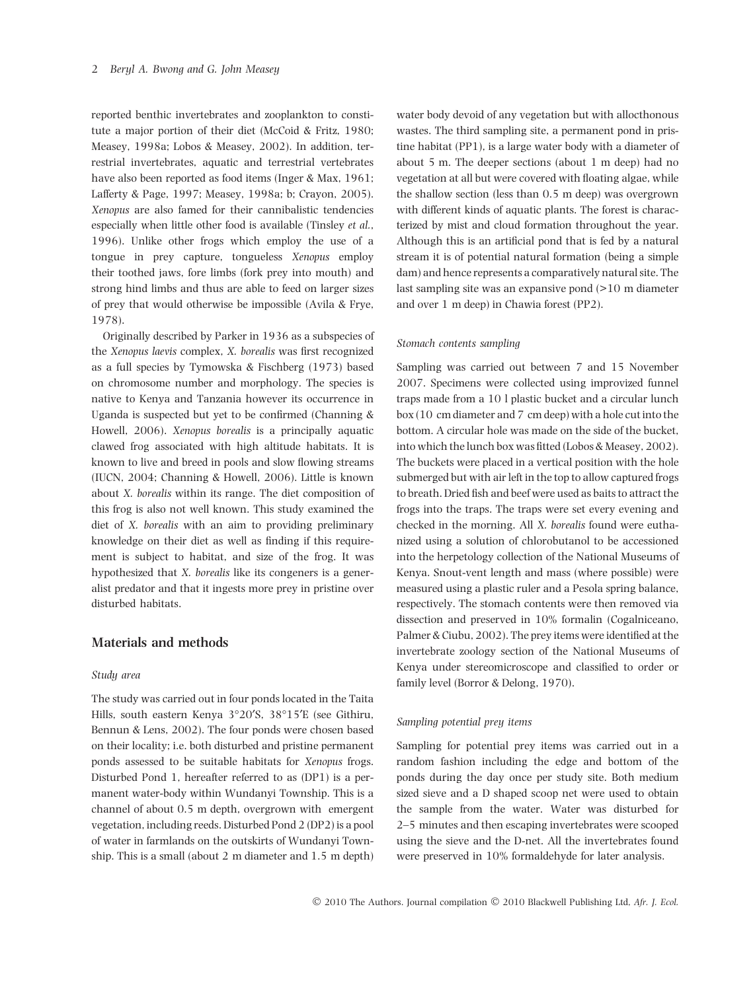reported benthic invertebrates and zooplankton to constitute a major portion of their diet (McCoid & Fritz, 1980; Measey, 1998a; Lobos & Measey, 2002). In addition, terrestrial invertebrates, aquatic and terrestrial vertebrates have also been reported as food items (Inger & Max, 1961; Lafferty & Page, 1997; Measey, 1998a; b; Crayon, 2005). Xenopus are also famed for their cannibalistic tendencies especially when little other food is available (Tinsley et al., 1996). Unlike other frogs which employ the use of a tongue in prey capture, tongueless Xenopus employ their toothed jaws, fore limbs (fork prey into mouth) and strong hind limbs and thus are able to feed on larger sizes of prey that would otherwise be impossible (Avila & Frye, 1978).

Originally described by Parker in 1936 as a subspecies of the Xenopus laevis complex, X. borealis was first recognized as a full species by Tymowska & Fischberg (1973) based on chromosome number and morphology. The species is native to Kenya and Tanzania however its occurrence in Uganda is suspected but yet to be confirmed (Channing & Howell, 2006). Xenopus borealis is a principally aquatic clawed frog associated with high altitude habitats. It is known to live and breed in pools and slow flowing streams (IUCN, 2004; Channing & Howell, 2006). Little is known about X. borealis within its range. The diet composition of this frog is also not well known. This study examined the diet of X. borealis with an aim to providing preliminary knowledge on their diet as well as finding if this requirement is subject to habitat, and size of the frog. It was hypothesized that X. borealis like its congeners is a generalist predator and that it ingests more prey in pristine over disturbed habitats.

# Materials and methods

#### Study area

The study was carried out in four ponds located in the Taita Hills, south eastern Kenya  $3^{\circ}20'$ S,  $38^{\circ}15'E$  (see Githiru, Bennun & Lens, 2002). The four ponds were chosen based on their locality; i.e. both disturbed and pristine permanent ponds assessed to be suitable habitats for Xenopus frogs. Disturbed Pond 1, hereafter referred to as (DP1) is a permanent water-body within Wundanyi Township. This is a channel of about 0.5 m depth, overgrown with emergent vegetation, including reeds. Disturbed Pond 2 (DP2) is a pool of water in farmlands on the outskirts of Wundanyi Township. This is a small (about 2 m diameter and 1.5 m depth)

water body devoid of any vegetation but with allocthonous wastes. The third sampling site, a permanent pond in pristine habitat (PP1), is a large water body with a diameter of about 5 m. The deeper sections (about 1 m deep) had no vegetation at all but were covered with floating algae, while the shallow section (less than 0.5 m deep) was overgrown with different kinds of aquatic plants. The forest is characterized by mist and cloud formation throughout the year. Although this is an artificial pond that is fed by a natural stream it is of potential natural formation (being a simple dam) and hence represents a comparatively natural site. The last sampling site was an expansive pond (>10 m diameter and over 1 m deep) in Chawia forest (PP2).

#### Stomach contents sampling

Sampling was carried out between 7 and 15 November 2007. Specimens were collected using improvized funnel traps made from a 10 l plastic bucket and a circular lunch box (10 cm diameter and 7 cm deep) with a hole cut into the bottom. A circular hole was made on the side of the bucket, into which the lunch box was fitted (Lobos & Measey, 2002). The buckets were placed in a vertical position with the hole submerged but with air left in the top to allow captured frogs to breath. Dried fish and beef were used as baits to attract the frogs into the traps. The traps were set every evening and checked in the morning. All X. borealis found were euthanized using a solution of chlorobutanol to be accessioned into the herpetology collection of the National Museums of Kenya. Snout-vent length and mass (where possible) were measured using a plastic ruler and a Pesola spring balance, respectively. The stomach contents were then removed via dissection and preserved in 10% formalin (Cogalniceano, Palmer & Ciubu, 2002). The prey items were identified at the invertebrate zoology section of the National Museums of Kenya under stereomicroscope and classified to order or family level (Borror & Delong, 1970).

#### Sampling potential prey items

Sampling for potential prey items was carried out in a random fashion including the edge and bottom of the ponds during the day once per study site. Both medium sized sieve and a D shaped scoop net were used to obtain the sample from the water. Water was disturbed for 2–5 minutes and then escaping invertebrates were scooped using the sieve and the D-net. All the invertebrates found were preserved in 10% formaldehyde for later analysis.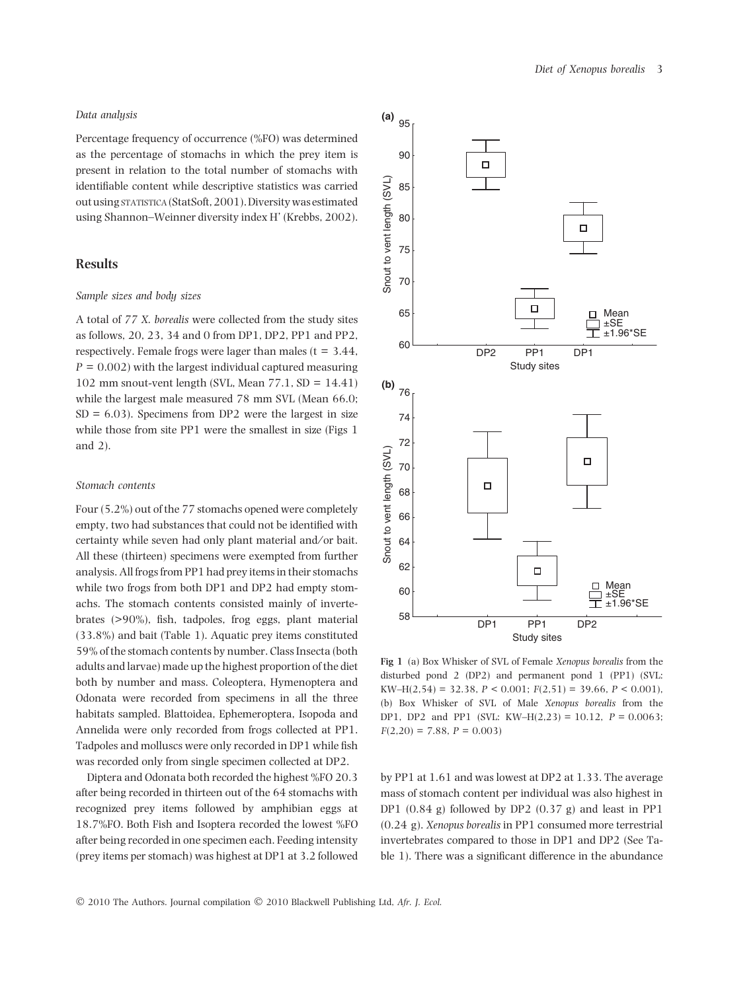#### Data analysis

Percentage frequency of occurrence (%FO) was determined as the percentage of stomachs in which the prey item is present in relation to the total number of stomachs with identifiable content while descriptive statistics was carried out usingstatistica(StatSoft, 2001).Diversity was estimated using Shannon–Weinner diversity index H' (Krebbs, 2002).

#### Results

#### Sample sizes and body sizes

A total of 77 X. borealis were collected from the study sites as follows, 20, 23, 34 and 0 from DP1, DP2, PP1 and PP2, respectively. Female frogs were lager than males ( $t = 3.44$ ,  $P = 0.002$ ) with the largest individual captured measuring 102 mm snout-vent length (SVL, Mean  $77.1$ , SD = 14.41) while the largest male measured 78 mm SVL (Mean 66.0;  $SD = 6.03$ ). Specimens from DP2 were the largest in size while those from site PP1 were the smallest in size (Figs 1 and 2).

#### Stomach contents

Four (5.2%) out of the 77 stomachs opened were completely empty, two had substances that could not be identified with certainty while seven had only plant material and/or bait. All these (thirteen) specimens were exempted from further analysis. All frogs from PP1 had prey items in their stomachs while two frogs from both DP1 and DP2 had empty stomachs. The stomach contents consisted mainly of invertebrates (>90%), fish, tadpoles, frog eggs, plant material (33.8%) and bait (Table 1). Aquatic prey items constituted 59% of the stomach contents by number. Class Insecta (both adults and larvae) made up the highest proportion of the diet both by number and mass. Coleoptera, Hymenoptera and Odonata were recorded from specimens in all the three habitats sampled. Blattoidea, Ephemeroptera, Isopoda and Annelida were only recorded from frogs collected at PP1. Tadpoles and molluscs were only recorded in DP1 while fish was recorded only from single specimen collected at DP2.

Diptera and Odonata both recorded the highest %FO 20.3 after being recorded in thirteen out of the 64 stomachs with recognized prey items followed by amphibian eggs at 18.7%FO. Both Fish and Isoptera recorded the lowest %FO after being recorded in one specimen each. Feeding intensity (prey items per stomach) was highest at DP1 at 3.2 followed





Fig 1 (a) Box Whisker of SVL of Female Xenopus borealis from the disturbed pond 2 (DP2) and permanent pond 1 (PP1) (SVL: KW–H(2,54) = 32.38,  $P < 0.001$ ;  $F(2,51) = 39.66$ ,  $P < 0.001$ ), (b) Box Whisker of SVL of Male Xenopus borealis from the DP1, DP2 and PP1 (SVL: KW–H(2,23) = 10.12,  $P = 0.0063$ ;  $F(2,20) = 7.88, P = 0.003$ 

by PP1 at 1.61 and was lowest at DP2 at 1.33. The average mass of stomach content per individual was also highest in DP1  $(0.84 \text{ g})$  followed by DP2  $(0.37 \text{ g})$  and least in PP1 (0.24 g). Xenopus borealis in PP1 consumed more terrestrial invertebrates compared to those in DP1 and DP2 (See Table 1). There was a significant difference in the abundance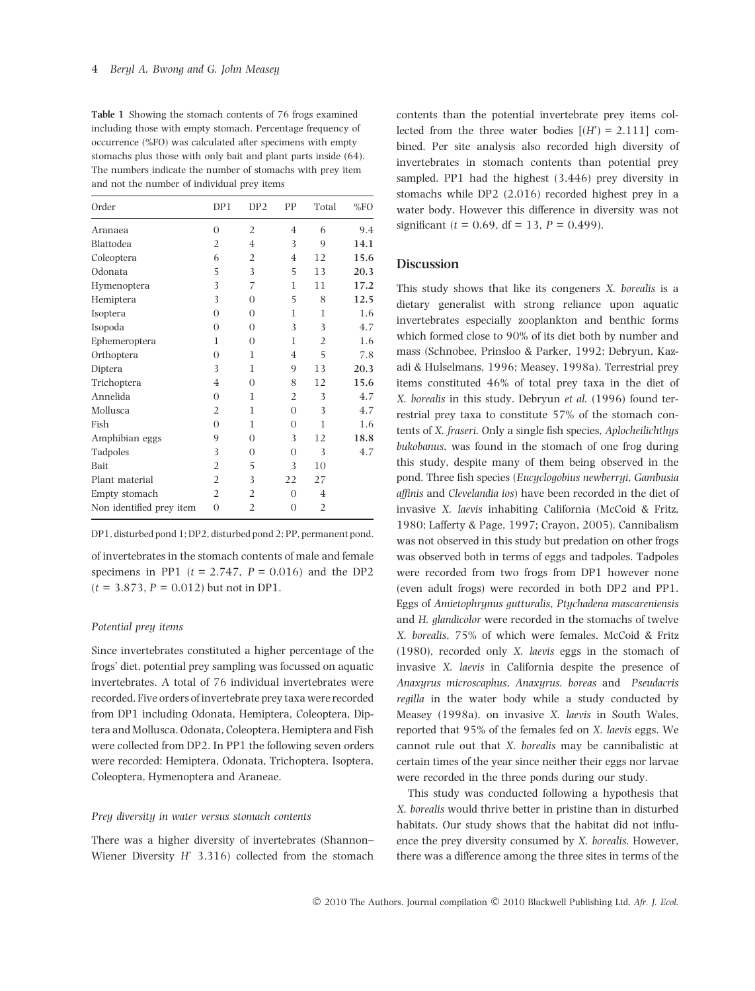Table 1 Showing the stomach contents of 76 frogs examined including those with empty stomach. Percentage frequency of occurrence (%FO) was calculated after specimens with empty stomachs plus those with only bait and plant parts inside (64). The numbers indicate the number of stomachs with prey item and not the number of individual prey items

| Order                    | DP1            | DP2            | PP             | Total          | %FO  |
|--------------------------|----------------|----------------|----------------|----------------|------|
| Aranaea                  | $\overline{0}$ | $\overline{2}$ | $\overline{4}$ | 6              | 9.4  |
| Blattodea                | 2              | $\overline{4}$ | 3              | 9              | 14.1 |
| Coleoptera               | 6              | $\overline{2}$ | $\overline{4}$ | 12             | 15.6 |
| Odonata                  | 5              | 3              | 5              | 13             | 20.3 |
| Hymenoptera              | 3              | 7              | 1              | 11             | 17.2 |
| Hemiptera                | 3              | $\overline{0}$ | 5              | 8              | 12.5 |
| Isoptera                 | $\Omega$       | $\Omega$       | 1              | $\mathbf{1}$   | 1.6  |
| Isopoda                  | $\Omega$       | $\Omega$       | 3              | 3              | 4.7  |
| Ephemeroptera            | 1              | $\overline{0}$ | 1              | 2              | 1.6  |
| Orthoptera               | $\Omega$       | $\mathbf{1}$   | $\overline{4}$ | 5              | 7.8  |
| Diptera                  | 3              | $\mathbf{1}$   | 9              | 13             | 20.3 |
| Trichoptera              | $\overline{4}$ | $\overline{0}$ | 8              | 12             | 15.6 |
| Annelida                 | $\Omega$       | 1              | $\overline{2}$ | 3              | 4.7  |
| Mollusca                 | 2              | 1              | $\Omega$       | 3              | 4.7  |
| Fish                     | $\Omega$       | 1              | $\Omega$       | 1              | 1.6  |
| Amphibian eggs           | 9              | $\overline{0}$ | 3              | 12             | 18.8 |
| Tadpoles                 | 3              | $\overline{0}$ | $\overline{0}$ | 3              | 4.7  |
| <b>Bait</b>              | $\overline{2}$ | 5              | 3              | 10             |      |
| Plant material           | 2              | 3              | 22             | 27             |      |
| Empty stomach            | 2              | $\overline{2}$ | $\Omega$       | $\overline{4}$ |      |
| Non identified prey item | $\overline{0}$ | $\overline{2}$ | $\overline{0}$ | $\overline{2}$ |      |

DP1, disturbed pond 1; DP2, disturbed pond 2; PP, permanent pond.

of invertebrates in the stomach contents of male and female specimens in PP1 ( $t = 2.747$ ,  $P = 0.016$ ) and the DP2  $(t = 3.873, P = 0.012)$  but not in DP1.

## Potential prey items

Since invertebrates constituted a higher percentage of the frogs' diet, potential prey sampling was focussed on aquatic invertebrates. A total of 76 individual invertebrates were recorded. Five orders of invertebrate prey taxa were recorded from DP1 including Odonata, Hemiptera, Coleoptera, Diptera and Mollusca. Odonata, Coleoptera, Hemiptera and Fish were collected from DP2. In PP1 the following seven orders were recorded: Hemiptera, Odonata, Trichoptera, Isoptera, Coleoptera, Hymenoptera and Araneae.

#### Prey diversity in water versus stomach contents

There was a higher diversity of invertebrates (Shannon– Wiener Diversity H' 3.316) collected from the stomach contents than the potential invertebrate prey items collected from the three water bodies  $[(H') = 2.111]$  combined. Per site analysis also recorded high diversity of invertebrates in stomach contents than potential prey sampled. PP1 had the highest (3.446) prey diversity in stomachs while DP2 (2.016) recorded highest prey in a water body. However this difference in diversity was not significant ( $t = 0.69$ , df = 13,  $P = 0.499$ ).

#### Discussion

This study shows that like its congeners X. borealis is a dietary generalist with strong reliance upon aquatic invertebrates especially zooplankton and benthic forms which formed close to 90% of its diet both by number and mass (Schnobee, Prinsloo & Parker, 1992; Debryun, Kazadi & Hulselmans, 1996; Measey, 1998a). Terrestrial prey items constituted 46% of total prey taxa in the diet of X. borealis in this study. Debryun et al. (1996) found terrestrial prey taxa to constitute 57% of the stomach contents of X. fraseri. Only a single fish species, Aplocheilichthys bukobanus, was found in the stomach of one frog during this study, despite many of them being observed in the pond. Three fish species (Eucyclogobius newberryi, Gambusia affinis and Clevelandia ios) have been recorded in the diet of invasive X. laevis inhabiting California (McCoid & Fritz, 1980; Lafferty & Page, 1997; Crayon, 2005). Cannibalism was not observed in this study but predation on other frogs was observed both in terms of eggs and tadpoles. Tadpoles were recorded from two frogs from DP1 however none (even adult frogs) were recorded in both DP2 and PP1. Eggs of Amietophrynus gutturalis, Ptychadena mascareniensis and H. glandicolor were recorded in the stomachs of twelve X. borealis, 75% of which were females. McCoid & Fritz (1980), recorded only X. laevis eggs in the stomach of invasive X. laevis in California despite the presence of Anaxyrus microscaphus, Anaxyrus. boreas and Pseudacris regilla in the water body while a study conducted by Measey (1998a), on invasive X. laevis in South Wales, reported that 95% of the females fed on X. laevis eggs. We cannot rule out that X. borealis may be cannibalistic at certain times of the year since neither their eggs nor larvae were recorded in the three ponds during our study.

This study was conducted following a hypothesis that X. borealis would thrive better in pristine than in disturbed habitats. Our study shows that the habitat did not influence the prey diversity consumed by X. borealis. However, there was a difference among the three sites in terms of the